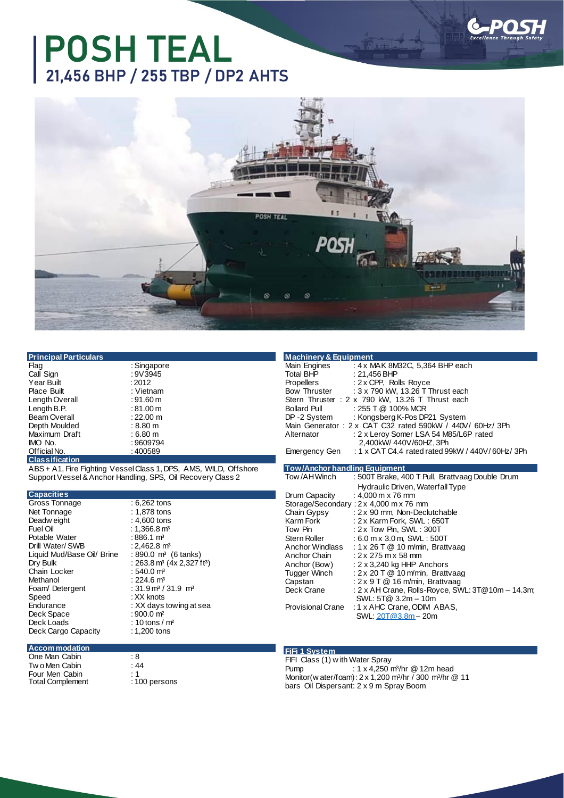# **POSH TEAL 21,456 BHP / 255 TBP / DP2 AHTS**



| <b>Principal Particulars</b> |  |  |
|------------------------------|--|--|
| $\sim$                       |  |  |

| riag              |
|-------------------|
| Call Sign         |
| <b>Year Built</b> |
| Place Built       |
| Length Overall    |
| Length B.P.       |
| Beam Overall      |
| Depth Moulded     |
| Maximum Draft     |
| IMO No.           |
| Official No.      |
| Classification    |

: Singapore : 9V3945  $: 2012$ : Vietnam  $:91.60 \text{ m}$  $: 81.00 m$  $: 22.00 \; m$  $: 8.80 \; m$  $: 6.80 m$  $: 9609794$  $: 400589$ 

**Classification**

ABS + A1, Fire Fighting Vessel Class 1, DPS, AMS, WILD, Offshore Support Vessel&Anchor Handling, SPS, Oil Recovery Class 2

#### **Capacities**

Gross Tonnage : 6,262 tons<br>Net Tonnage : 1,878 tons Net Tonnage : 1,878 tons<br>Deadw eight : 4,600 tons Deadw eight<br>Fuel Oil Potable Water : 886.1 m<sup>3</sup><br>Drill Water/SWB : 2.462.8 m<sup>3</sup> Drill Water/ SWB Liquid Mud/Base Oil/ Brine<br>Dry Bulk Chain Locker<br>Methanol Methanol : 224.6 m<sup>3</sup><br>Foam/Detergent : 31.9 m<sup>3</sup>/ Foam/ Detergent : 31.9 m<sup>3</sup> / 31.9 m<sup>3</sup><br>Speed : XX knots Speed : XX knots<br>Endurance : XX days Deck Space<br>Deck Loads Deck Cargo Capacity

: 1,366.8 m<sup>3</sup><br>: 886.1 m<sup>3</sup> :  $890.0$  m<sup>3</sup> (6 tanks)<br>:  $263.8$  m<sup>3</sup> (4x 2,327 ft<sup>3</sup>)<br>:  $540.0$  m<sup>3</sup> : XX days towing at sea<br>: 900.0 m<sup>2</sup>  $: 10$  tons / m<sup>2</sup><br> $: 1,200$  tons

| <b>Machinery &amp; Equipment</b>                                   |  |  |  |  |
|--------------------------------------------------------------------|--|--|--|--|
| : 4 x MAK 8M32C, 5,364 BHP each<br>Main Engines                    |  |  |  |  |
| Total BHP<br>: 21.456 BHP                                          |  |  |  |  |
| : $2 \times$ CPP, Rolls Royce<br>Propellers                        |  |  |  |  |
| : 3 x 790 kW, 13.26 T Thrust each<br><b>Bow Thruster</b>           |  |  |  |  |
| Stern Thruster: 2 x 790 kW, 13.26 T Thrust each                    |  |  |  |  |
| $: 255$ T @ 100% MCR<br><b>Bollard Pull</b>                        |  |  |  |  |
| DP-2 System<br>: Kongsberg K-Pos DP21 System                       |  |  |  |  |
| Main Generator: $2 \times CAT C32$ rated 590kW / 440V/60Hz/3Ph     |  |  |  |  |
| : 2 x Leroy Somer LSA 54 M85/L6P rated<br>Alternator               |  |  |  |  |
| 2.400kW/440V/60HZ.3Ph                                              |  |  |  |  |
| : 1 x CAT C4.4 rated rated 99kW / 440V/60Hz/3Ph<br>Emergency Gen   |  |  |  |  |
|                                                                    |  |  |  |  |
| <b>Tow/Anchor handling Equipment</b>                               |  |  |  |  |
| Tow /AHWinch<br>: 500T Brake, 400 T Pull, Brattvaag Double Drum    |  |  |  |  |
| Hydraulic Driven, Waterfall Type                                   |  |  |  |  |
| $D_1, \ldots, D_n, \ldots, L_n$<br>$. 4.000 \times 70 \text{ mas}$ |  |  |  |  |

|                   | Hydraulic Driven, Waterfall Type                  |
|-------------------|---------------------------------------------------|
| Drum Capacity     | : 4,000 m x 76 mm                                 |
|                   | Storage/Secondary: 2 x 4,000 m x 76 mm            |
| Chain Gypsy       | : 2 x 90 mm, Non-Declutchable                     |
| Karm Fork         | : 2 x Karm Fork, SWL : 650T                       |
| Tow Pin           | : $2 \times$ Tow Pin, SWL : 300T                  |
| Stern Roller      | $: 6.0$ m x 3.0 m, SWL : 500T                     |
| Anchor Windlass   | : 1 x 26 T $@$ 10 m/min, Brattvaag                |
| Anchor Chain      | $: 2 \times 275$ m x 58 mm                        |
| Anchor (Bow)      | : $2 \times 3,240$ kg HHP Anchors                 |
| Tugger Winch      | : $2 \times 20$ T $@$ 10 m/min, Brattvaag         |
| Capstan           | : 2 x 9 T @ 16 m/min, Brattvaag                   |
| Deck Crane        | : 2 x AH Crane, Rolls-Royce, SWL: 3T@10m - 14.3m; |
|                   | SWL: 5T@ 3.2m - 10m                               |
| Provisional Crane | : 1 x AHC Crane, ODIM ABAS,                       |
|                   | SWL: 20T@3.8m - 20m                               |

### **Accommodation**

One Man Cabin : 8<br>Two Men Cabin : 44 Tw o Men Cabin Four Men Cabin : 1<br>Total Complement : 100 persons Total Complement

### **FiFi 1 System**

FIFI Class (1) with Water Spray<br>Pump: : 1 x 4,250 i Pump : 1 x 4,250 m<sup>3</sup> /hr @ 12m head Monitor(w ater/foam): 2 x 1,200 m<sup>3</sup> /hr / 300 m<sup>3</sup> /hr @ 11 bars Oil Dispersant: 2 x 9 m Spray Boom